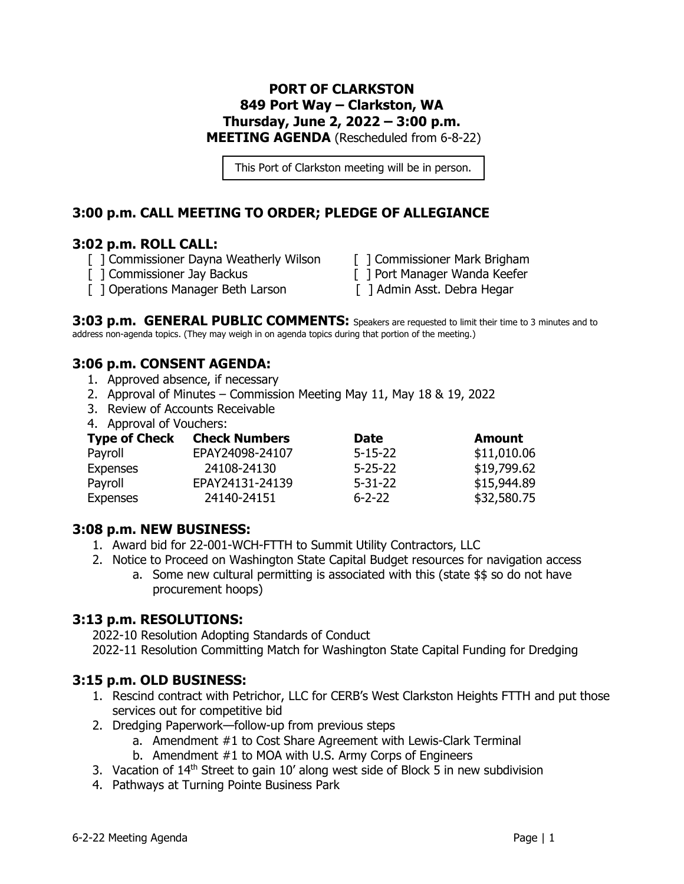### **PORT OF CLARKSTON 849 Port Way – Clarkston, WA Thursday, June 2, 2022 – 3:00 p.m. MEETING AGENDA** (Rescheduled from 6-8-22)

This Port of Clarkston meeting will be in person.

## **3:00 p.m. CALL MEETING TO ORDER; PLEDGE OF ALLEGIANCE**

#### **3:02 p.m. ROLL CALL:**

- [ ] Commissioner Dayna Weatherly Wilson [ ] Commissioner Mark Brigham
- 
- [ ] Operations Manager Beth Larson [ ] Admin Asst. Debra Hegar
- 
- [ ] Commissioner Jay Backus [ ] Port Manager Wanda Keefer
	-

**3:03 p.m. GENERAL PUBLIC COMMENTS:** Speakers are requested to limit their time to 3 minutes and to address non-agenda topics. (They may weigh in on agenda topics during that portion of the meeting.)

## **3:06 p.m. CONSENT AGENDA:**

- 1. Approved absence, if necessary
- 2. Approval of Minutes Commission Meeting May 11, May 18 & 19, 2022
- 3. Review of Accounts Receivable
- 4. Approval of Vouchers:

| <b>Type of Check</b> | <b>Check Numbers</b> | <b>Date</b>   | <b>Amount</b> |
|----------------------|----------------------|---------------|---------------|
| Payroll              | EPAY24098-24107      | $5 - 15 - 22$ | \$11,010.06   |
| <b>Expenses</b>      | 24108-24130          | $5 - 25 - 22$ | \$19,799.62   |
| Payroll              | EPAY24131-24139      | $5 - 31 - 22$ | \$15,944.89   |
| <b>Expenses</b>      | 24140-24151          | $6 - 2 - 22$  | \$32,580.75   |

#### **3:08 p.m. NEW BUSINESS:**

- 1. Award bid for 22-001-WCH-FTTH to Summit Utility Contractors, LLC
- 2. Notice to Proceed on Washington State Capital Budget resources for navigation access
	- a. Some new cultural permitting is associated with this (state \$\$ so do not have procurement hoops)

#### **3:13 p.m. RESOLUTIONS:**

2022-10 Resolution Adopting Standards of Conduct 2022-11 Resolution Committing Match for Washington State Capital Funding for Dredging

#### **3:15 p.m. OLD BUSINESS:**

- 1. Rescind contract with Petrichor, LLC for CERB's West Clarkston Heights FTTH and put those services out for competitive bid
- 2. Dredging Paperwork—follow-up from previous steps
	- a. Amendment #1 to Cost Share Agreement with Lewis-Clark Terminal
	- b. Amendment #1 to MOA with U.S. Army Corps of Engineers
- 3. Vacation of  $14<sup>th</sup>$  Street to gain 10' along west side of Block 5 in new subdivision
- 4. Pathways at Turning Pointe Business Park